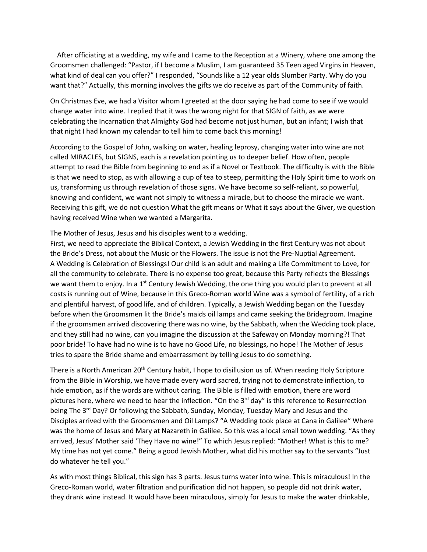After officiating at a wedding, my wife and I came to the Reception at a Winery, where one among the Groomsmen challenged: "Pastor, if I become a Muslim, I am guaranteed 35 Teen aged Virgins in Heaven, what kind of deal can you offer?" I responded, "Sounds like a 12 year olds Slumber Party. Why do you want that?" Actually, this morning involves the gifts we do receive as part of the Community of faith.

On Christmas Eve, we had a Visitor whom I greeted at the door saying he had come to see if we would change water into wine. I replied that it was the wrong night for that SIGN of faith, as we were celebrating the Incarnation that Almighty God had become not just human, but an infant; I wish that that night I had known my calendar to tell him to come back this morning!

According to the Gospel of John, walking on water, healing leprosy, changing water into wine are not called MIRACLES, but SIGNS, each is a revelation pointing us to deeper belief. How often, people attempt to read the Bible from beginning to end as if a Novel or Textbook. The difficulty is with the Bible is that we need to stop, as with allowing a cup of tea to steep, permitting the Holy Spirit time to work on us, transforming us through revelation of those signs. We have become so self-reliant, so powerful, knowing and confident, we want not simply to witness a miracle, but to choose the miracle we want. Receiving this gift, we do not question What the gift means or What it says about the Giver, we question having received Wine when we wanted a Margarita.

The Mother of Jesus, Jesus and his disciples went to a wedding.

First, we need to appreciate the Biblical Context, a Jewish Wedding in the first Century was not about the Bride's Dress, not about the Music or the Flowers. The issue is not the Pre-Nuptial Agreement. A Wedding is Celebration of Blessings! Our child is an adult and making a Life Commitment to Love, for all the community to celebrate. There is no expense too great, because this Party reflects the Blessings we want them to enjoy. In a 1<sup>st</sup> Century Jewish Wedding, the one thing you would plan to prevent at all costs is running out of Wine, because in this Greco-Roman world Wine was a symbol of fertility, of a rich and plentiful harvest, of good life, and of children. Typically, a Jewish Wedding began on the Tuesday before when the Groomsmen lit the Bride's maids oil lamps and came seeking the Bridegroom. Imagine if the groomsmen arrived discovering there was no wine, by the Sabbath, when the Wedding took place, and they still had no wine, can you imagine the discussion at the Safeway on Monday morning?! That poor bride! To have had no wine is to have no Good Life, no blessings, no hope! The Mother of Jesus tries to spare the Bride shame and embarrassment by telling Jesus to do something.

There is a North American 20<sup>th</sup> Century habit, I hope to disillusion us of. When reading Holy Scripture from the Bible in Worship, we have made every word sacred, trying not to demonstrate inflection, to hide emotion, as if the words are without caring. The Bible is filled with emotion, there are word pictures here, where we need to hear the inflection. "On the  $3<sup>rd</sup>$  day" is this reference to Resurrection being The 3<sup>rd</sup> Day? Or following the Sabbath, Sunday, Monday, Tuesday Mary and Jesus and the Disciples arrived with the Groomsmen and Oil Lamps? "A Wedding took place at Cana in Galilee" Where was the home of Jesus and Mary at Nazareth in Galilee. So this was a local small town wedding. "As they arrived, Jesus' Mother said 'They Have no wine!" To which Jesus replied: "Mother! What is this to me? My time has not yet come." Being a good Jewish Mother, what did his mother say to the servants "Just do whatever he tell you."

As with most things Biblical, this sign has 3 parts. Jesus turns water into wine. This is miraculous! In the Greco-Roman world, water filtration and purification did not happen, so people did not drink water, they drank wine instead. It would have been miraculous, simply for Jesus to make the water drinkable,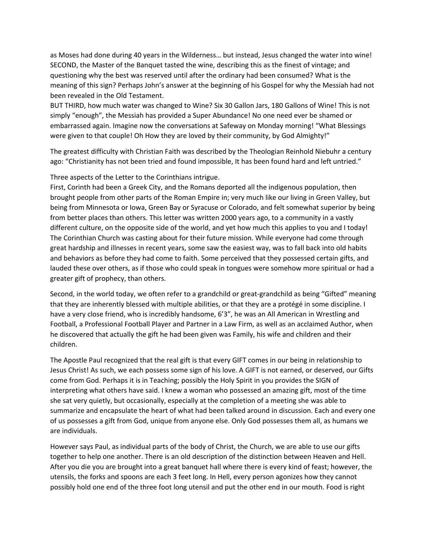as Moses had done during 40 years in the Wilderness… but instead, Jesus changed the water into wine! SECOND, the Master of the Banquet tasted the wine, describing this as the finest of vintage; and questioning why the best was reserved until after the ordinary had been consumed? What is the meaning of this sign? Perhaps John's answer at the beginning of his Gospel for why the Messiah had not been revealed in the Old Testament.

BUT THIRD, how much water was changed to Wine? Six 30 Gallon Jars, 180 Gallons of Wine! This is not simply "enough", the Messiah has provided a Super Abundance! No one need ever be shamed or embarrassed again. Imagine now the conversations at Safeway on Monday morning! "What Blessings were given to that couple! Oh How they are loved by their community, by God Almighty!"

The greatest difficulty with Christian Faith was described by the Theologian Reinhold Niebuhr a century ago: "Christianity has not been tried and found impossible, It has been found hard and left untried."

Three aspects of the Letter to the Corinthians intrigue.

First, Corinth had been a Greek City, and the Romans deported all the indigenous population, then brought people from other parts of the Roman Empire in; very much like our living in Green Valley, but being from Minnesota or Iowa, Green Bay or Syracuse or Colorado, and felt somewhat superior by being from better places than others. This letter was written 2000 years ago, to a community in a vastly different culture, on the opposite side of the world, and yet how much this applies to you and I today! The Corinthian Church was casting about for their future mission. While everyone had come through great hardship and illnesses in recent years, some saw the easiest way, was to fall back into old habits and behaviors as before they had come to faith. Some perceived that they possessed certain gifts, and lauded these over others, as if those who could speak in tongues were somehow more spiritual or had a greater gift of prophecy, than others.

Second, in the world today, we often refer to a grandchild or great-grandchild as being "Gifted" meaning that they are inherently blessed with multiple abilities, or that they are a protégé in some discipline. I have a very close friend, who is incredibly handsome, 6'3", he was an All American in Wrestling and Football, a Professional Football Player and Partner in a Law Firm, as well as an acclaimed Author, when he discovered that actually the gift he had been given was Family, his wife and children and their children.

The Apostle Paul recognized that the real gift is that every GIFT comes in our being in relationship to Jesus Christ! As such, we each possess some sign of his love. A GIFT is not earned, or deserved, our Gifts come from God. Perhaps it is in Teaching; possibly the Holy Spirit in you provides the SIGN of interpreting what others have said. I knew a woman who possessed an amazing gift, most of the time she sat very quietly, but occasionally, especially at the completion of a meeting she was able to summarize and encapsulate the heart of what had been talked around in discussion. Each and every one of us possesses a gift from God, unique from anyone else. Only God possesses them all, as humans we are individuals.

However says Paul, as individual parts of the body of Christ, the Church, we are able to use our gifts together to help one another. There is an old description of the distinction between Heaven and Hell. After you die you are brought into a great banquet hall where there is every kind of feast; however, the utensils, the forks and spoons are each 3 feet long. In Hell, every person agonizes how they cannot possibly hold one end of the three foot long utensil and put the other end in our mouth. Food is right